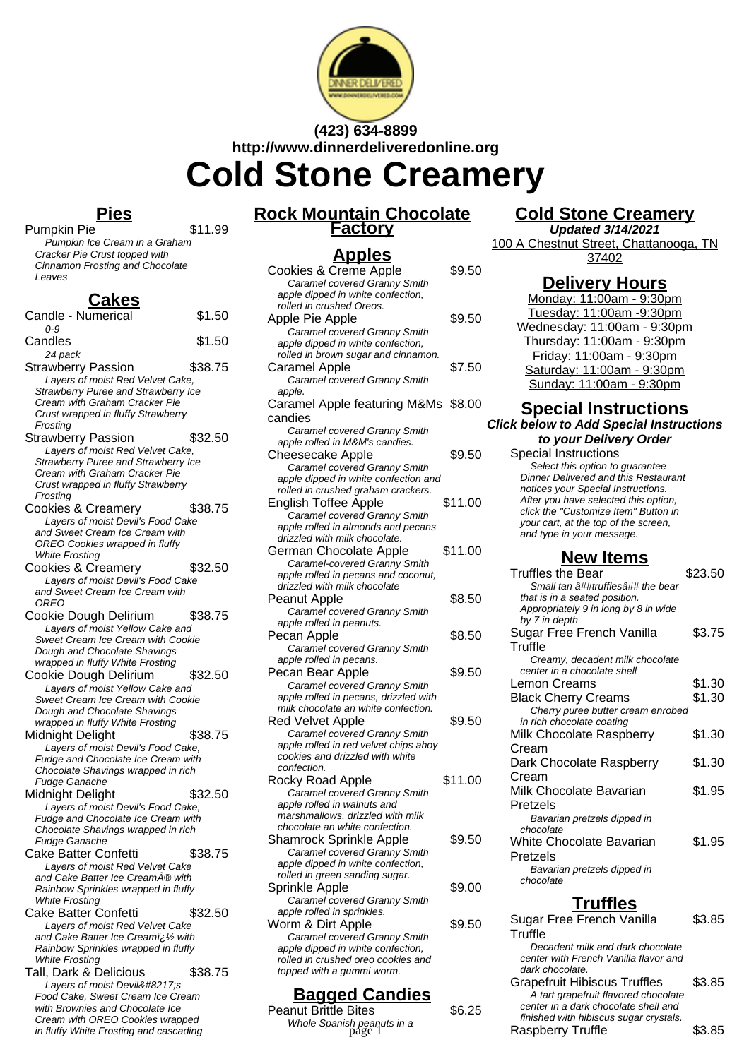

**(423) 634-8899 http://www.dinnerdeliveredonline.org**

**Cold Stone Creamery**

## **Pies**

Pumpkin Pie \$11.99 Pumpkin Ice Cream in a Graham Cracker Pie Crust topped with Cinnamon Frosting and Chocolate Leaves

# **Cakes**

| Candle - Numerical<br>$0 - 9$                                          | \$1.50  |
|------------------------------------------------------------------------|---------|
| Candles                                                                | \$1.50  |
| 24 pack<br><b>Strawberry Passion</b>                                   | \$38.75 |
| Layers of moist Red Velvet Cake,                                       |         |
| <b>Strawberry Puree and Strawberry Ice</b>                             |         |
| Cream with Graham Cracker Pie                                          |         |
| Crust wrapped in fluffy Strawberry                                     |         |
| Frosting<br>Strawberry Passion                                         | \$32.50 |
| Layers of moist Red Velvet Cake,                                       |         |
| Strawberry Puree and Strawberry Ice                                    |         |
| Cream with Graham Cracker Pie                                          |         |
| Crust wrapped in fluffy Strawberry                                     |         |
| Frosting                                                               | \$38.75 |
| Cookies & Creamery<br>Layers of moist Devil's Food Cake                |         |
| and Sweet Cream Ice Cream with                                         |         |
| OREO Cookies wrapped in fluffy                                         |         |
| <b>White Frosting</b>                                                  |         |
| <b>Cookies &amp; Creamery</b>                                          | \$32.50 |
| Layers of moist Devil's Food Cake                                      |         |
| and Sweet Cream Ice Cream with<br>OREO                                 |         |
| Cookie Dough Delirium                                                  | \$38.75 |
| Layers of moist Yellow Cake and                                        |         |
| Sweet Cream Ice Cream with Cookie                                      |         |
| Dough and Chocolate Shavings                                           |         |
| wrapped in fluffy White Frosting                                       |         |
| Cookie Dough Delirium                                                  | \$32.50 |
| Layers of moist Yellow Cake and                                        |         |
| Sweet Cream Ice Cream with Cookie<br>Dough and Chocolate Shavings      |         |
| wrapped in fluffy White Frosting                                       |         |
| Midnight Delight                                                       | \$38.75 |
| Layers of moist Devil's Food Cake,                                     |         |
| Fudge and Chocolate Ice Cream with                                     |         |
| Chocolate Shavings wrapped in rich                                     |         |
| Fudge Ganache<br>Midnight Delight                                      | \$32.50 |
| Layers of moist Devil's Food Cake,                                     |         |
| Fudge and Chocolate Ice Cream with                                     |         |
| Chocolate Shavings wrapped in rich                                     |         |
| Fudge Ganache                                                          |         |
| Cake Batter Confetti                                                   | \$38.75 |
| Layers of moist Red Velvet Cake                                        |         |
| and Cake Batter Ice Cream® with<br>Rainbow Sprinkles wrapped in fluffy |         |
| <b>White Frosting</b>                                                  |         |
| <b>Cake Batter Confetti</b>                                            | \$32.50 |
| Layers of moist Red Velvet Cake                                        |         |
| and Cake Batter Ice Creami ¿ 1/2 with                                  |         |
| Rainbow Sprinkles wrapped in fluffy                                    |         |
| <b>White Frosting</b><br>Tall, Dark & Delicious                        | \$38.75 |
| Layers of moist Devil's                                                |         |
| Food Cake, Sweet Cream Ice Cream                                       |         |
| with Brownies and Chocolate Ice                                        |         |
| Cream with OREO Cookies wrapped                                        |         |

in fluffy White Frosting and cascading

### **Rock Mountain Chocolate Factory**

# **Apples**

| <u>тирісэ</u>                                                            |         |
|--------------------------------------------------------------------------|---------|
| Cookies & Creme Apple                                                    | \$9.50  |
| Caramel covered Granny Smith                                             |         |
| apple dipped in white confection,                                        |         |
| rolled in crushed Oreos.                                                 |         |
| Apple Pie Apple                                                          | \$9.50  |
| Caramel covered Granny Smith                                             |         |
| apple dipped in white confection,<br>rolled in brown sugar and cinnamon. |         |
|                                                                          |         |
| Caramel Apple<br>Caramel covered Granny Smith                            | \$7.50  |
| apple.                                                                   |         |
| Caramel Apple featuring M&Ms \$8.00                                      |         |
|                                                                          |         |
| candies                                                                  |         |
| Caramel covered Granny Smith<br>apple rolled in M&M's candies.           |         |
|                                                                          | \$9.50  |
| Cheesecake Apple<br>Caramel covered Granny Smith                         |         |
| apple dipped in white confection and                                     |         |
| rolled in crushed graham crackers.                                       |         |
| <b>English Toffee Apple</b>                                              | \$11.00 |
| Caramel covered Granny Smith                                             |         |
| apple rolled in almonds and pecans                                       |         |
| drizzled with milk chocolate.                                            |         |
| German Chocolate Apple                                                   | \$11.00 |
| Caramel-covered Granny Smith                                             |         |
| apple rolled in pecans and coconut,                                      |         |
| drizzled with milk chocolate                                             |         |
| Peanut Apple                                                             | \$8.50  |
| Caramel covered Granny Smith                                             |         |
| apple rolled in peanuts.                                                 |         |
| Pecan Apple                                                              | \$8.50  |
| Caramel covered Granny Smith                                             |         |
| apple rolled in pecans.                                                  |         |
| Pecan Bear Apple                                                         | \$9.50  |
| Caramel covered Granny Smith                                             |         |
| apple rolled in pecans, drizzled with                                    |         |
| milk chocolate an white confection.                                      |         |
| Red Velvet Apple                                                         | \$9.50  |
| Caramel covered Granny Smith<br>apple rolled in red velvet chips ahoy    |         |
| cookies and drizzled with white                                          |         |
| confection.                                                              |         |
| Rocky Road Apple                                                         | \$11.00 |
| Caramel covered Granny Smith                                             |         |
| apple rolled in walnuts and                                              |         |
| marshmallows, drizzled with milk                                         |         |
| chocolate an white confection.                                           |         |
| <b>Shamrock Sprinkle Apple</b>                                           | \$9.50  |
| Caramel covered Granny Smith                                             |         |
| apple dipped in white confection,                                        |         |
| rolled in green sanding sugar.                                           |         |
| Sprinkle Apple                                                           | \$9.00  |
| Caramel covered Granny Smith                                             |         |
| apple rolled in sprinkles.                                               |         |
| Worm & Dirt Apple                                                        | \$9.50  |
| Caramel covered Granny Smith                                             |         |
| apple dipped in white confection,<br>rolled in crushed oreo cookies and  |         |
| topped with a gummi worm.                                                |         |
|                                                                          |         |
|                                                                          |         |

#### **Bagged Candies** Peanut Brittle Bites \$6.25

Whole Spanish peanuts in a

# **Cold Stone Creamery**

**Updated 3/14/2021** 100 A Chestnut Street, Chattanooga, TN 37402

### **Delivery Hours**

Monday: 11:00am - 9:30pm Tuesday: 11:00am -9:30pm Wednesday: 11:00am - 9:30pm Thursday: 11:00am - 9:30pm Friday: 11:00am - 9:30pm Saturday: 11:00am - 9:30pm Sunday: 11:00am - 9:30pm

#### **Special Instructions**

**Click below to Add Special Instructions to your Delivery Order**

Special Instructions Select this option to quarantee Dinner Delivered and this Restaurant notices your Special Instructions. After you have selected this option, click the "Customize Item" Button in your cart, at the top of the screen, and type in your message.

## **New Items**

| <b>Truffles the Bear</b>              | \$23.50 |
|---------------------------------------|---------|
| Small tan â##trufflesâ## the bear     |         |
| that is in a seated position.         |         |
| Appropriately 9 in long by 8 in wide  |         |
| by 7 in depth                         |         |
| Sugar Free French Vanilla             | \$3.75  |
| Truffle                               |         |
| Creamy, decadent milk chocolate       |         |
| center in a chocolate shell           |         |
| Lemon Creams                          | \$1.30  |
| <b>Black Cherry Creams</b>            | \$1.30  |
| Cherry puree butter cream enrobed     |         |
| in rich chocolate coating             |         |
| Milk Chocolate Raspberry              | \$1.30  |
| Cream                                 |         |
| Dark Chocolate Raspberry              | \$1.30  |
| Cream                                 |         |
| Milk Chocolate Bavarian               | \$1.95  |
| Pretzels                              |         |
| Bavarian pretzels dipped in           |         |
| chocolate                             |         |
| White Chocolate Bavarian              | \$1.95  |
| Pretzels                              |         |
| Bavarian pretzels dipped in           |         |
| chocolate                             |         |
|                                       |         |
| <b>Truffles</b>                       |         |
| Sugar Free French Vanilla             | \$3.85  |
| Truffle                               |         |
| Decadent milk and dark chocolate      |         |
| center with French Vanilla flavor and |         |
| dark chocolate.                       |         |
| <b>Grapefruit Hibiscus Truffles</b>   | \$3.85  |
| A tart grapefruit flavored chocolate  |         |
| center in a dark chocolate shell and  |         |

finished with hibiscus sugar crystals. Raspberry Truffle \$3.85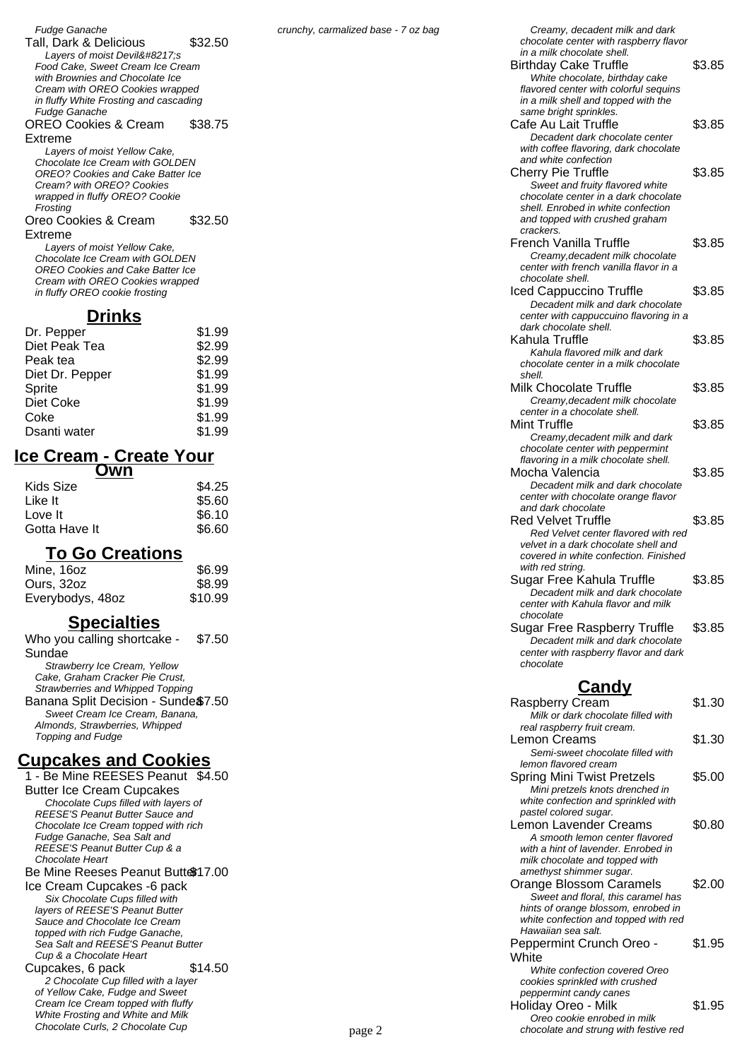Fudge Ganache

Tall, Dark & Delicious \$32.50 Layers of moist Devil's Food Cake, Sweet Cream Ice Cream with Brownies and Chocolate Ice Cream with OREO Cookies wrapped in fluffy White Frosting and cascading Fudge Ganache

OREO Cookies & Cream Extreme \$38.75

Layers of moist Yellow Cake, Chocolate Ice Cream with GOLDEN **OREO?** Cookies and Cake Batter Ice Cream? with OREO? Cookies wrapped in fluffy OREO? Cookie **Frosting** 

Oreo Cookies & Cream Extreme \$32.50

Layers of moist Yellow Cake, Chocolate Ice Cream with GOLDEN OREO Cookies and Cake Batter Ice Cream with OREO Cookies wrapped in fluffy OREO cookie frosting

### **Drinks**

| Dr. Pepper      | \$1.99 |
|-----------------|--------|
| Diet Peak Tea   | \$2.99 |
| Peak tea        | \$2.99 |
| Diet Dr. Pepper | \$1.99 |
| Sprite          | \$1.99 |
| Diet Coke       | \$1.99 |
| Coke            | \$1.99 |
| Dsanti water    | \$1.99 |
|                 |        |

## **Ice Cream - Create Your**

| Own           |        |
|---------------|--------|
| Kids Size     | \$4.25 |
| Like It       | \$5.60 |
| Love It       | \$6.10 |
| Gotta Have It | \$6.60 |

### **To Go Creations**

| Mine, 16oz       | \$6.99  |
|------------------|---------|
| Ours, 32oz       | \$8.99  |
| Everybodys, 48oz | \$10.99 |

## **Specialties**

| Who you calling shortcake -<br>\$7.50 |
|---------------------------------------|
| Sundae                                |
| Strawberry Ice Cream, Yellow          |
| Cake, Graham Cracker Pie Crust,       |
| Strawberries and Whipped Topping      |
| Banana Split Decision - Sunde \$7.50  |
| Sweet Cream Ice Cream, Banana,        |
| Almonds, Strawberries, Whipped        |
| <b>Topping and Fudge</b>              |
|                                       |

# **Cupcakes and Cookies**

| 1 - Be Mine REESES Peanut \$4.50     |  |
|--------------------------------------|--|
| Butter Ice Cream Cupcakes            |  |
| Chocolate Cups filled with layers of |  |
| REESE'S Peanut Butter Sauce and      |  |
| Chocolate Ice Cream topped with rich |  |
| Fudge Ganache, Sea Salt and          |  |
| REESE'S Peanut Butter Cup & a        |  |
| Chocolate Heart                      |  |
| Be Mine Reeses Peanut Butto\$17.00   |  |
| Ice Cream Cupcakes -6 pack           |  |
| Six Chocolate Cups filled with       |  |
| layers of REESE'S Peanut Butter      |  |
| Sauce and Chocolate Ice Cream        |  |
| topped with rich Fudge Ganache,      |  |
| Sea Salt and REESE'S Peanut Butter   |  |
| Cup & a Chocolate Heart              |  |
| Cupcakes, 6 pack<br>\$14.50          |  |
| 2 Chocolate Cup filled with a layer  |  |
| of Yellow Cake, Fudge and Sweet      |  |

Cream Ice Cream topped with fluffy White Frosting and White and Milk Chocolate Curls, 2 Chocolate Cup

| Creamy, decadent milk and dark<br>chocolate center with raspberry flavor    |        |
|-----------------------------------------------------------------------------|--------|
| in a milk chocolate shell.                                                  |        |
| <b>Birthday Cake Truffle</b>                                                | \$3.85 |
| White chocolate, birthday cake                                              |        |
| flavored center with colorful sequins                                       |        |
| in a milk shell and topped with the<br>same bright sprinkles.               |        |
| Cafe Au Lait Truffle                                                        | \$3.85 |
| Decadent dark chocolate center                                              |        |
| with coffee flavoring, dark chocolate                                       |        |
| and white confection                                                        |        |
| <b>Cherry Pie Truffle</b>                                                   | \$3.85 |
| Sweet and fruity flavored white<br>chocolate center in a dark chocolate     |        |
| shell. Enrobed in white confection                                          |        |
| and topped with crushed graham                                              |        |
| crackers.                                                                   |        |
| French Vanilla Truffle                                                      | \$3.85 |
| Creamy, decadent milk chocolate<br>center with french vanilla flavor in a   |        |
| chocolate shell.                                                            |        |
| Iced Cappuccino Truffle                                                     | \$3.85 |
| Decadent milk and dark chocolate                                            |        |
| center with cappuccuino flavoring in a                                      |        |
| dark chocolate shell.<br>Kahula Truffle                                     | \$3.85 |
| Kahula flavored milk and dark                                               |        |
| chocolate center in a milk chocolate                                        |        |
| shell.                                                                      |        |
| Milk Chocolate Truffle                                                      | \$3.85 |
| Creamy, decadent milk chocolate                                             |        |
| center in a chocolate shell.<br>Mint Truffle                                |        |
| Creamy, decadent milk and dark                                              | \$3.85 |
| chocolate center with peppermint                                            |        |
| flavoring in a milk chocolate shell.                                        |        |
| Mocha Valencia                                                              | \$3.85 |
| Decadent milk and dark chocolate                                            |        |
| center with chocolate orange flavor<br>and dark chocolate                   |        |
| <b>Red Velvet Truffle</b>                                                   | \$3.85 |
| Red Velvet center flavored with red                                         |        |
| velvet in a dark chocolate shell and                                        |        |
| covered in white confection. Finished                                       |        |
| with red string.<br>Sugar Free Kahula Truffle                               | \$3.85 |
| Decadent milk and dark chocolate                                            |        |
| center with Kahula flavor and milk                                          |        |
| chocolate                                                                   |        |
| <b>Sugar Free Raspberry Truffle</b>                                         | \$3.85 |
| Decadent milk and dark chocolate                                            |        |
| center with raspberry flavor and dark<br>chocolate                          |        |
|                                                                             |        |
| <u>Candy</u>                                                                |        |
| Raspberry Cream                                                             | \$1.30 |
| Milk or dark chocolate filled with                                          |        |
| real raspberry fruit cream.                                                 |        |
| Lemon Creams                                                                | \$1.30 |
| Semi-sweet chocolate filled with<br>lemon flavored cream                    |        |
| <b>Spring Mini Twist Pretzels</b>                                           | \$5.00 |
| Mini pretzels knots drenched in                                             |        |
| white confection and sprinkled with                                         |        |
| pastel colored sugar.                                                       |        |
| Lemon Lavender Creams                                                       | \$0.80 |
| A smooth lemon center flavored<br>with a hint of lavender. Enrobed in       |        |
| milk chocolate and topped with                                              |        |
| amethyst shimmer sugar.                                                     |        |
| Orange Blossom Caramels                                                     | \$2.00 |
| Sweet and floral, this caramel has                                          |        |
| hints of orange blossom, enrobed in<br>white confection and topped with red |        |
| Hawaiian sea salt.                                                          |        |
| Peppermint Crunch Oreo -                                                    | \$1.95 |
| White                                                                       |        |
|                                                                             |        |
| White confection covered Oreo                                               |        |
| cookies sprinkled with crushed                                              |        |
| peppermint candy canes<br>Holiday Oreo - Milk                               | \$1.95 |

Oreo cookie enrobed in milk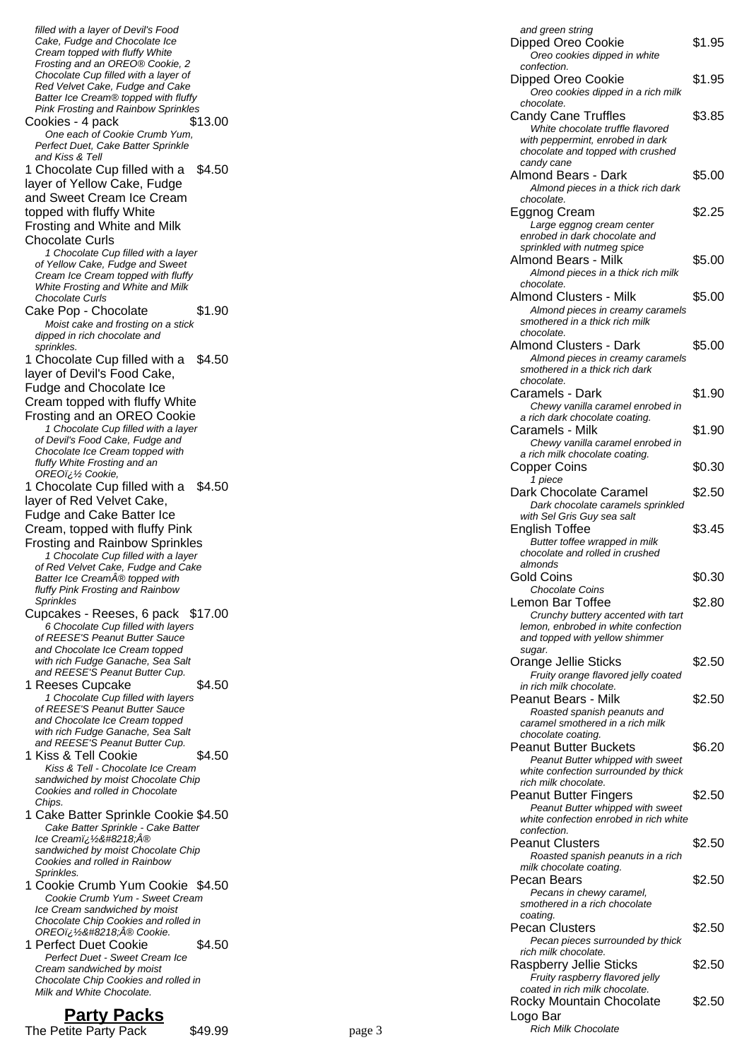filled with a layer of Devil's Food Cake, Fudge and Chocolate Ice Cream topped with fluffy White Frosting and an OREO® Cookie, 2 Chocolate Cup filled with a layer of Red Velvet Cake, Fudge and Cake Batter Ice Cream® topped with fluffy Pink Frosting and Rainbow Sprinkles Cookies - 4 pack \$13.00 One each of Cookie Crumb Yum, Perfect Duet, Cake Batter Sprinkle and Kiss & Tell 1 Chocolate Cup filled with a \$4.50 layer of Yellow Cake, Fudge and Sweet Cream Ice Cream topped with fluffy White Frosting and White and Milk Chocolate Curls 1 Chocolate Cup filled with a layer of Yellow Cake, Fudge and Sweet Cream Ice Cream topped with fluffy White Frosting and White and Milk Chocolate Curls Cake Pop - Chocolate \$1.90 Moist cake and frosting on a stick dipped in rich chocolate and sprinkles. 1 Chocolate Cup filled with a \$4.50 layer of Devil's Food Cake, Fudge and Chocolate Ice Cream topped with fluffy White Frosting and an OREO Cookie 1 Chocolate Cup filled with a layer of Devil's Food Cake, Fudge and Chocolate Ice Cream topped with fluffy White Frosting and an OREOï¿ 1/2 Cookie, 1 Chocolate Cup filled with a \$4.50 layer of Red Velvet Cake, Fudge and Cake Batter Ice Cream, topped with fluffy Pink Frosting and Rainbow Sprinkles 1 Chocolate Cup filled with a layer of Red Velvet Cake, Fudge and Cake Batter Ice Cream® topped with fluffy Pink Frosting and Rainbow **Sprinkles** Cupcakes - Reeses, 6 pack \$17.00 6 Chocolate Cup filled with layers of REESE'S Peanut Butter Sauce and Chocolate Ice Cream topped with rich Fudge Ganache, Sea Salt and REESE'S Peanut Butter Cup. 1 Reeses Cupcake \$4.50 1 Chocolate Cup filled with layers of REESE'S Peanut Butter Sauce and Chocolate Ice Cream topped with rich Fudge Ganache, Sea Salt and REESE'S Peanut Butter Cup. 1 Kiss & Tell Cookie \$4.50 Kiss & Tell - Chocolate Ice Cream sandwiched by moist Chocolate Chip Cookies and rolled in Chocolate Chips. 1 Cake Batter Sprinkle Cookie \$4.50 Cake Batter Sprinkle - Cake Batter 'Âاce Creami sandwiched by moist Chocolate Chip Cookies and rolled in Rainbow **Sprinkles** 1 Cookie Crumb Yum Cookie \$4.50 Cookie Crumb Yum - Sweet Cream Ice Cream sandwiched by moist Chocolate Chip Cookies and rolled in OREOï¿ ½'® Cookie. 1 Perfect Duet Cookie \$4.50 Perfect Duet - Sweet Cream Ice Cream sandwiched by moist Chocolate Chip Cookies and rolled in Milk and White Chocolate.

#### White chocolate truffle flavored with peppermint, enrobed in dark chocolate and topped with crushed candy cane Almond Bears - Dark \$5.00 Almond pieces in a thick rich dark chocolate. Eggnog Cream \$2.25 Large eggnog cream center enrobed in dark chocolate and sprinkled with nutmeg spice Almond Bears - Milk  $$5.00$ Almond pieces in a thick rich milk chocolate. Almond Clusters - Milk  $$5.00$ Almond pieces in creamy caramels smothered in a thick rich milk chocolate. Almond Clusters - Dark \$5.00 Almond pieces in creamy caramels smothered in a thick rich dark chocolate. Caramels - Dark \$1.90 Chewy vanilla caramel enrobed in a rich dark chocolate coating. Caramels - Milk  $$1.90$ Chewy vanilla caramel enrobed in a rich milk chocolate coating. Copper Coins \$0.30 1 piece Dark Chocolate Caramel \$2.50 Dark chocolate caramels sprinkled with Sel Gris Guy sea salt English Toffee  $$3.45$ Butter toffee wrapped in milk chocolate and rolled in crushed almonds Gold Coins \$0.30 Chocolate Coins Lemon Bar Toffee \$2.80 Crunchy buttery accented with tart lemon, enbrobed in white confection and topped with yellow shimmer sugar. Orange Jellie Sticks \$2.50 Fruity orange flavored jelly coated in rich milk chocolate. Peanut Bears - Milk  $$2.50$ Roasted spanish peanuts and caramel smothered in a rich milk chocolate coating. Peanut Butter Buckets \$6.20 Peanut Butter whipped with sweet white confection surrounded by thick rich milk chocolate. Peanut Butter Fingers \$2.50 Peanut Butter whipped with sweet white confection enrobed in rich white confection. Peanut Clusters \$2.50 Roasted spanish peanuts in a rich milk chocolate coating. Pecan Bears \$2.50 Pecans in chewy caramel, smothered in a rich chocolate coating. Pecan Clusters \$2.50 Pecan pieces surrounded by thick rich milk chocolate. Raspberry Jellie Sticks \$2.50 Fruity raspberry flavored jelly coated in rich milk chocolate. Rocky Mountain Chocolate Logo Bar \$2.50 page 3 Rich Milk Chocolate

and green string

confection.

chocolate.

Dipped Oreo Cookie \$1.95 Oreo cookies dipped in white

Dipped Oreo Cookie \$1.95 Oreo cookies dipped in a rich milk

Candy Cane Truffles \$3.85

**Party Packs** The Petite Party Pack \$49.99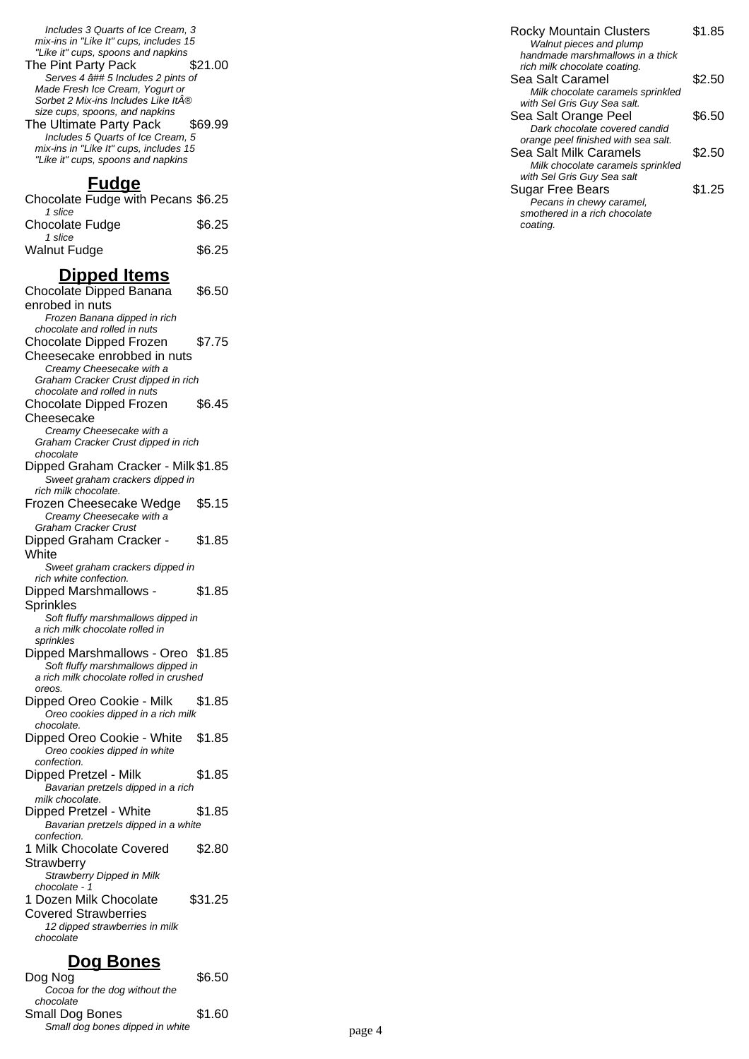Includes 3 Quarts of Ice Cream, 3 mix-ins in "Like It" cups, includes 15 "Like it" cups, spoons and napkins

The Pint Party Pack \$21.00 Serves 4 â ## 5 Includes 2 pints of Made Fresh Ice Cream, Yogurt or Sorbet 2 Mix-ins Includes Like It® size cups, spoons, and napkins The Ultimate Party Pack \$69.99 Includes 5 Quarts of Ice Cream, 5

mix-ins in "Like It" cups, includes 15 "Like it" cups, spoons and napkins

#### **Fudge**

| Chocolate Fudge with Pecans \$6.25 |        |
|------------------------------------|--------|
| 1 slice                            |        |
| Chocolate Fudge                    | \$6.25 |
| 1 slice                            |        |
| Walnut Fudge                       | \$6.25 |
|                                    |        |

#### **Dipped Items**

Chocolate Dipped Banana enrobed in nuts \$6.50 Frozen Banana dipped in rich chocolate and rolled in nuts Chocolate Dipped Frozen Cheesecake enrobbed in nuts \$7.75 Creamy Cheesecake with a Graham Cracker Crust dipped in rich chocolate and rolled in nuts Chocolate Dipped Frozen **Cheesecake** \$6.45 Creamy Cheesecake with a Graham Cracker Crust dipped in rich chocolate Dipped Graham Cracker - Milk \$1.85 Sweet graham crackers dipped in rich milk chocolate. Frozen Cheesecake Wedge \$5.15 Creamy Cheesecake with a Graham Cracker Crust Dipped Graham Cracker - **White** \$1.85 Sweet graham crackers dipped in rich white confection. Dipped Marshmallows - Sprinkles \$1.85 Soft fluffy marshmallows dipped in a rich milk chocolate rolled in sprinkles Dipped Marshmallows - Oreo \$1.85 Soft fluffy marshmallows dipped in a rich milk chocolate rolled in crushed oreos. Dipped Oreo Cookie - Milk \$1.85 Oreo cookies dipped in a rich milk chocolate. Dipped Oreo Cookie - White \$1.85 Oreo cookies dipped in white confection. Dipped Pretzel - Milk \$1.85 Bavarian pretzels dipped in a rich milk chocolate. Dipped Pretzel - White \$1.85 Bavarian pretzels dipped in a white confection. 1 Milk Chocolate Covered **Strawberry** \$2.80 Strawberry Dipped in Milk chocolate - 1 1 Dozen Milk Chocolate Covered Strawberries \$31.25 12 dipped strawberries in milk chocolate

## **Dog Bones**

| Dog Nog                         | \$6.50 |
|---------------------------------|--------|
| Cocoa for the dog without the   |        |
| chocolate                       |        |
| <b>Small Dog Bones</b>          | \$1.60 |
| Small dog bones dipped in white |        |

| Rocky Mountain Clusters<br>Walnut pieces and plump<br>handmade marshmallows in a thick | \$1.85 |
|----------------------------------------------------------------------------------------|--------|
| rich milk chocolate coating.                                                           |        |
| Sea Salt Caramel<br>Milk chocolate caramels sprinkled                                  | \$2.50 |
| with Sel Gris Guy Sea salt.                                                            |        |
| Sea Salt Orange Peel                                                                   | \$6.50 |
| Dark chocolate covered candid                                                          |        |
| orange peel finished with sea salt.<br>Sea Salt Milk Caramels                          | \$2.50 |
| Milk chocolate caramels sprinkled                                                      |        |
| with Sel Gris Guy Sea salt                                                             |        |
| Sugar Free Bears                                                                       | \$1.25 |
| Pecans in chewy caramel,                                                               |        |
| smothered in a rich chocolate                                                          |        |
| coatina.                                                                               |        |